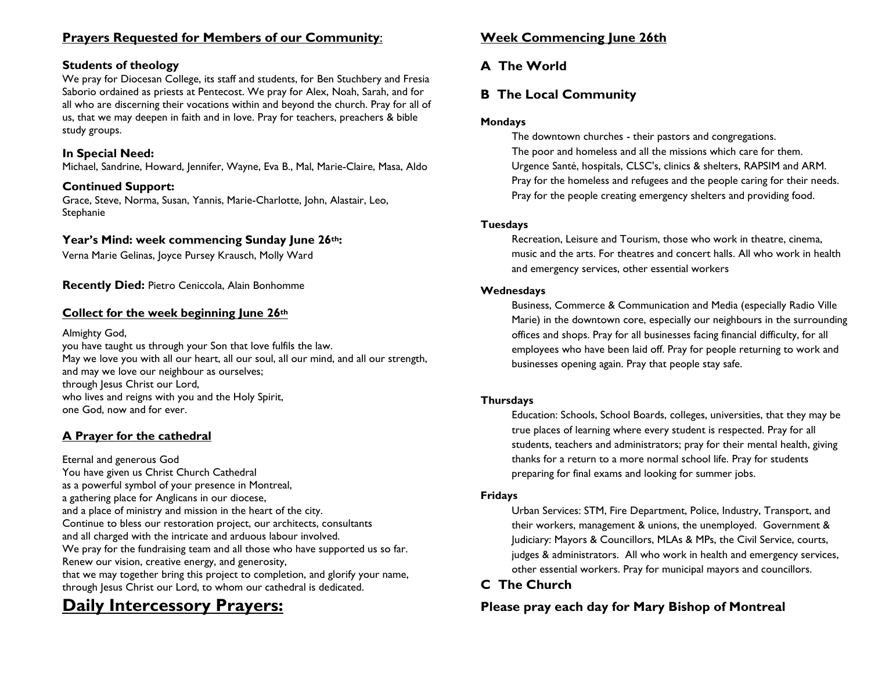### **Prayers Requested for Members of our Community**:

### **Students of theology**

We pray for Diocesan College, its staff and students, for Ben Stuchbery and Fresia Saborio ordained as priests at Pentecost. We pray for Alex, Noah, Sarah, and for all who are discerning their vocations within and beyond the church. Pray for all of us, that we may deepen in faith and in love. Pray for teachers, preachers & bible study groups.

### **In Special Need:**

Michael, Sandrine, Howard, Jennifer, Wayne, Eva B., Mal, Marie-Claire, Masa, Aldo

#### **Continued Support:**

Grace, Steve, Norma, Susan, Yannis, Marie-Charlotte, John, Alastair, Leo, Stephanie

### **Year's Mind: week commencing Sunday June 26th:**

Verna Marie Gelinas, Joyce Pursey Krausch, Molly Ward

**Recently Died:** Pietro Ceniccola, Alain Bonhomme

#### **Collect for the week beginning June 26th**

Almighty God,

you have taught us through your Son that love fulfils the law. May we love you with all our heart, all our soul, all our mind, and all our strength, and may we love our neighbour as ourselves; through Jesus Christ our Lord, who lives and reigns with you and the Holy Spirit, one God, now and for ever.

### **A Prayer for the cathedral**

Eternal and generous God You have given us Christ Church Cathedral as a powerful symbol of your presence in Montreal, a gathering place for Anglicans in our diocese, and a place of ministry and mission in the heart of the city. Continue to bless our restoration project, our architects, consultants and all charged with the intricate and arduous labour involved. We pray for the fundraising team and all those who have supported us so far. Renew our vision, creative energy, and generosity, that we may together bring this project to completion, and glorify your name, through Jesus Christ our Lord, to whom our cathedral is dedicated.

# **Daily Intercessory Prayers:**

### **Week Commencing June 26th**

# **A The World**

# **B The Local Community**

### **Mondays**

The downtown churches - their pastors and congregations. The poor and homeless and all the missions which care for them. Urgence Santé, hospitals, CLSC's, clinics & shelters, RAPSIM and ARM. Pray for the homeless and refugees and the people caring for their needs. Pray for the people creating emergency shelters and providing food.

#### **Tuesdays**

Recreation, Leisure and Tourism, those who work in theatre, cinema, music and the arts. For theatres and concert halls. All who work in health and emergency services, other essential workers

#### **Wednesdays**

Business, Commerce & Communication and Media (especially Radio Ville Marie) in the downtown core, especially our neighbours in the surrounding offices and shops. Pray for all businesses facing financial difficulty, for all employees who have been laid off. Pray for people returning to work and businesses opening again. Pray that people stay safe.

#### **Thursdays**

Education: Schools, School Boards, colleges, universities, that they may be true places of learning where every student is respected. Pray for all students, teachers and administrators; pray for their mental health, giving thanks for a return to a more normal school life. Pray for students preparing for final exams and looking for summer jobs.

#### **Fridays**

Urban Services: STM, Fire Department, Police, Industry, Transport, and their workers, management & unions, the unemployed. Government & Judiciary: Mayors & Councillors, MLAs & MPs, the Civil Service, courts, judges & administrators. All who work in health and emergency services, other essential workers. Pray for municipal mayors and councillors.

# **C The Church**

## **Please pray each day for Mary Bishop of Montreal**